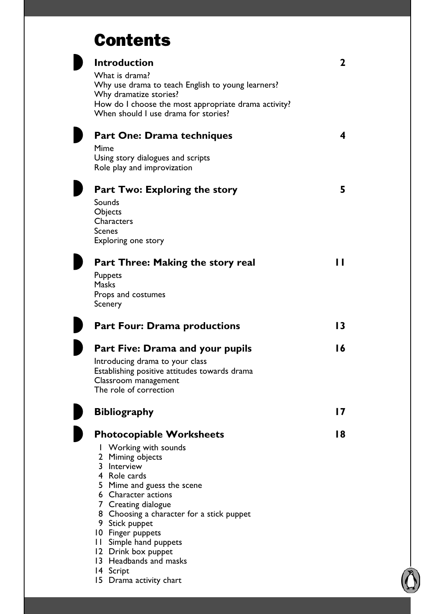## **Contents**

| <b>Introduction</b>                                                   | 2  |
|-----------------------------------------------------------------------|----|
| What is drama?                                                        |    |
| Why use drama to teach English to young learners?                     |    |
| Why dramatize stories?                                                |    |
| How do I choose the most appropriate drama activity?                  |    |
| When should I use drama for stories?                                  |    |
| <b>Part One: Drama techniques</b>                                     | 4  |
| Mime                                                                  |    |
| Using story dialogues and scripts                                     |    |
| Role play and improvization                                           |    |
|                                                                       |    |
| <b>Part Two: Exploring the story</b>                                  | 5  |
| Sounds                                                                |    |
| Objects                                                               |    |
| Characters                                                            |    |
| <b>Scenes</b>                                                         |    |
| Exploring one story                                                   |    |
|                                                                       |    |
| Part Three: Making the story real                                     | П  |
| <b>Puppets</b>                                                        |    |
| <b>Masks</b>                                                          |    |
| Props and costumes                                                    |    |
| Scenery                                                               |    |
| <b>Part Four: Drama productions</b>                                   | 13 |
| Part Five: Drama and your pupils                                      | 16 |
|                                                                       |    |
| Introducing drama to your class                                       |    |
| Establishing positive attitudes towards drama<br>Classroom management |    |
| The role of correction                                                |    |
|                                                                       |    |
| <b>Bibliography</b>                                                   | 17 |
|                                                                       |    |
| <b>Photocopiable Worksheets</b>                                       | 18 |
| I Working with sounds                                                 |    |
| 2 Miming objects                                                      |    |
| 3 Interview                                                           |    |
| 4 Role cards                                                          |    |
| 5 Mime and guess the scene                                            |    |
| 6 Character actions                                                   |    |
| 7 Creating dialogue                                                   |    |
| 8 Choosing a character for a stick puppet                             |    |
| 9 Stick puppet                                                        |    |
| 10 Finger puppets                                                     |    |
| 11 Simple hand puppets<br>12 Drink box puppet                         |    |
| 13 Headbands and masks                                                |    |
| 14 Script                                                             |    |
| 15 Drama activity chart                                               |    |

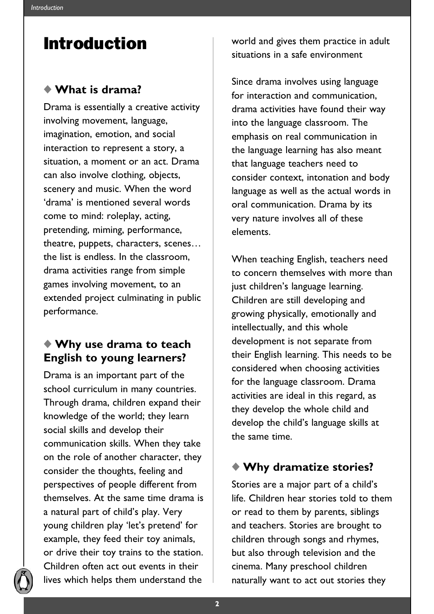## Introduction

#### ◆ **What is drama?**

Drama is essentially a creative activity involving movement, language, imagination, emotion, and social interaction to represent a story, a situation, a moment or an act. Drama can also involve clothing, objects, scenery and music. When the word 'drama' is mentioned several words come to mind: roleplay, acting, pretending, miming, performance, theatre, puppets, characters, scenes… the list is endless. In the classroom, drama activities range from simple games involving movement, to an extended project culminating in public performance.

### ◆ **Why use drama to teach English to young learners?**

Drama is an important part of the school curriculum in many countries. Through drama, children expand their knowledge of the world; they learn social skills and develop their communication skills. When they take on the role of another character, they consider the thoughts, feeling and perspectives of people different from themselves. At the same time drama is a natural part of child's play. Very young children play 'let's pretend' for example, they feed their toy animals, or drive their toy trains to the station. Children often act out events in their lives which helps them understand the

world and gives them practice in adult situations in a safe environment

Since drama involves using language for interaction and communication, drama activities have found their way into the language classroom. The emphasis on real communication in the language learning has also meant that language teachers need to consider context, intonation and body language as well as the actual words in oral communication. Drama by its very nature involves all of these elements.

When teaching English, teachers need to concern themselves with more than just children's language learning. Children are still developing and growing physically, emotionally and intellectually, and this whole development is not separate from their English learning. This needs to be considered when choosing activities for the language classroom. Drama activities are ideal in this regard, as they develop the whole child and develop the child's language skills at the same time.

### ◆ **Why dramatize stories?**

Stories are a major part of a child's life. Children hear stories told to them or read to them by parents, siblings and teachers. Stories are brought to children through songs and rhymes, but also through television and the cinema. Many preschool children naturally want to act out stories they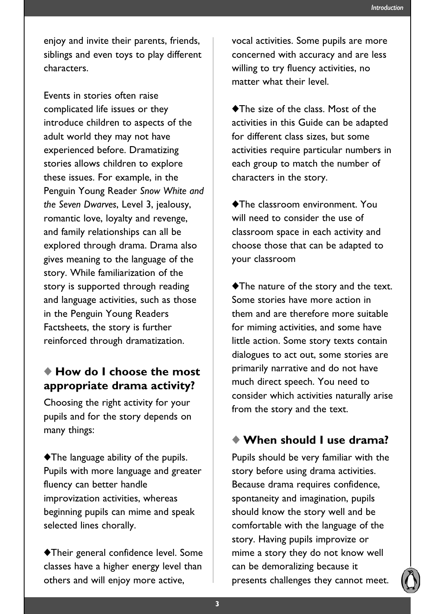enjoy and invite their parents, friends, siblings and even toys to play different characters.

Events in stories often raise complicated life issues or they introduce children to aspects of the adult world they may not have experienced before. Dramatizing stories allows children to explore these issues. For example, in the Penguin Young Reader *Snow White and the Seven Dwarves*, Level 3, jealousy, romantic love, loyalty and revenge, and family relationships can all be explored through drama. Drama also gives meaning to the language of the story. While familiarization of the story is supported through reading and language activities, such as those in the Penguin Young Readers Factsheets, the story is further reinforced through dramatization.

#### ◆ **How do I choose the most appropriate drama activity?**

Choosing the right activity for your pupils and for the story depends on many things:

◆The language ability of the pupils. Pupils with more language and greater fluency can better handle improvization activities, whereas beginning pupils can mime and speak selected lines chorally.

◆Their general confidence level. Some classes have a higher energy level than others and will enjoy more active,

vocal activities. Some pupils are more concerned with accuracy and are less willing to try fluency activities, no matter what their level.

◆The size of the class. Most of the activities in this Guide can be adapted for different class sizes, but some activities require particular numbers in each group to match the number of characters in the story.

◆The classroom environment. You will need to consider the use of classroom space in each activity and choose those that can be adapted to your classroom

◆The nature of the story and the text. Some stories have more action in them and are therefore more suitable for miming activities, and some have little action. Some story texts contain dialogues to act out, some stories are primarily narrative and do not have much direct speech. You need to consider which activities naturally arise from the story and the text.

#### ◆ **When should I use drama?**

Pupils should be very familiar with the story before using drama activities. Because drama requires confidence, spontaneity and imagination, pupils should know the story well and be comfortable with the language of the story. Having pupils improvize or mime a story they do not know well can be demoralizing because it presents challenges they cannot meet.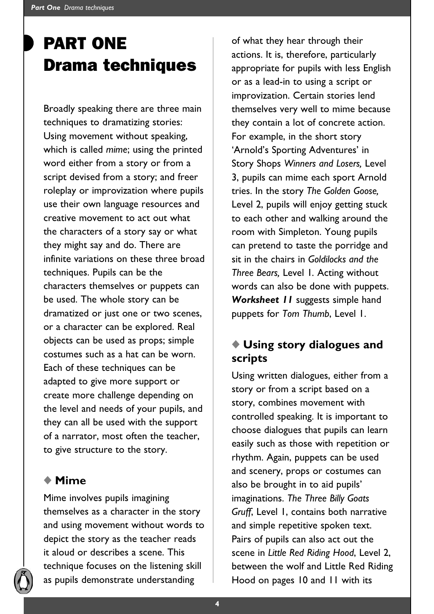# PART ONE Drama techniques

Broadly speaking there are three main techniques to dramatizing stories: Using movement without speaking, which is called *mime*; using the printed word either from a story or from a script devised from a story; and freer roleplay or improvization where pupils use their own language resources and creative movement to act out what the characters of a story say or what they might say and do. There are infinite variations on these three broad techniques. Pupils can be the characters themselves or puppets can be used. The whole story can be dramatized or just one or two scenes, or a character can be explored. Real objects can be used as props; simple costumes such as a hat can be worn. Each of these techniques can be adapted to give more support or create more challenge depending on the level and needs of your pupils, and they can all be used with the support of a narrator, most often the teacher, to give structure to the story.

### ◆ **Mime**

Mime involves pupils imagining themselves as a character in the story and using movement without words to depict the story as the teacher reads it aloud or describes a scene. This technique focuses on the listening skill as pupils demonstrate understanding

of what they hear through their actions. It is, therefore, particularly appropriate for pupils with less English or as a lead-in to using a script or improvization. Certain stories lend themselves very well to mime because they contain a lot of concrete action. For example, in the short story 'Arnold's Sporting Adventures' in Story Shops *Winners and Losers,* Level 3, pupils can mime each sport Arnold tries. In the story *The Golden Goose,* Level 2, pupils will enjoy getting stuck to each other and walking around the room with Simpleton. Young pupils can pretend to taste the porridge and sit in the chairs in *Goldilocks and the Three Bears,* Level 1*.* Acting without words can also be done with puppets. *Worksheet 11* suggests simple hand puppets for *Tom Thumb*, Level 1.

### ◆ **Using story dialogues and scripts**

Using written dialogues, either from a story or from a script based on a story, combines movement with controlled speaking. It is important to choose dialogues that pupils can learn easily such as those with repetition or rhythm. Again, puppets can be used and scenery, props or costumes can also be brought in to aid pupils' imaginations. *The Three Billy Goats Gruff*, Level 1, contains both narrative and simple repetitive spoken text. Pairs of pupils can also act out the scene in *Little Red Riding Hood*, Level 2, between the wolf and Little Red Riding Hood on pages 10 and 11 with its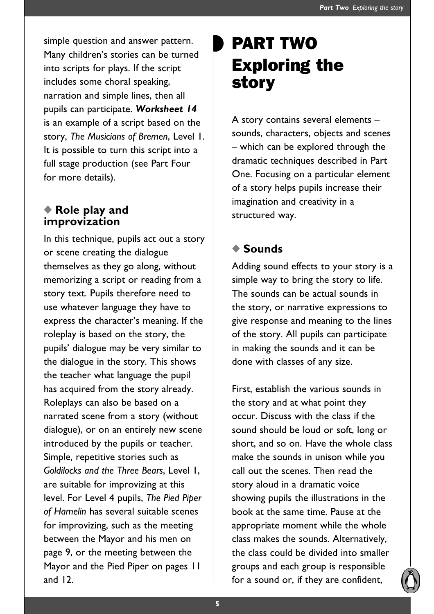simple question and answer pattern. Many children's stories can be turned into scripts for plays. If the script includes some choral speaking, narration and simple lines, then all pupils can participate. *Worksheet 14* is an example of a script based on the story, *The Musicians of Bremen*, Level 1. It is possible to turn this script into a full stage production (see Part Four for more details).

#### ◆ **Role play and improvization**

In this technique, pupils act out a story or scene creating the dialogue themselves as they go along, without memorizing a script or reading from a story text. Pupils therefore need to use whatever language they have to express the character's meaning. If the roleplay is based on the story, the pupils' dialogue may be very similar to the dialogue in the story. This shows the teacher what language the pupil has acquired from the story already. Roleplays can also be based on a narrated scene from a story (without dialogue), or on an entirely new scene introduced by the pupils or teacher. Simple, repetitive stories such as *Goldilocks and the Three Bears*, Level 1, are suitable for improvizing at this level. For Level 4 pupils, *The Pied Piper of Hamelin* has several suitable scenes for improvizing, such as the meeting between the Mayor and his men on page 9, or the meeting between the Mayor and the Pied Piper on pages 11 and 12.

# PART TWO Exploring the story

A story contains several elements – sounds, characters, objects and scenes – which can be explored through the dramatic techniques described in Part One. Focusing on a particular element of a story helps pupils increase their imagination and creativity in a structured way.

### ◆ **Sounds**

Adding sound effects to your story is a simple way to bring the story to life. The sounds can be actual sounds in the story, or narrative expressions to give response and meaning to the lines of the story. All pupils can participate in making the sounds and it can be done with classes of any size.

First, establish the various sounds in the story and at what point they occur. Discuss with the class if the sound should be loud or soft, long or short, and so on. Have the whole class make the sounds in unison while you call out the scenes. Then read the story aloud in a dramatic voice showing pupils the illustrations in the book at the same time. Pause at the appropriate moment while the whole class makes the sounds. Alternatively, the class could be divided into smaller groups and each group is responsible for a sound or, if they are confident,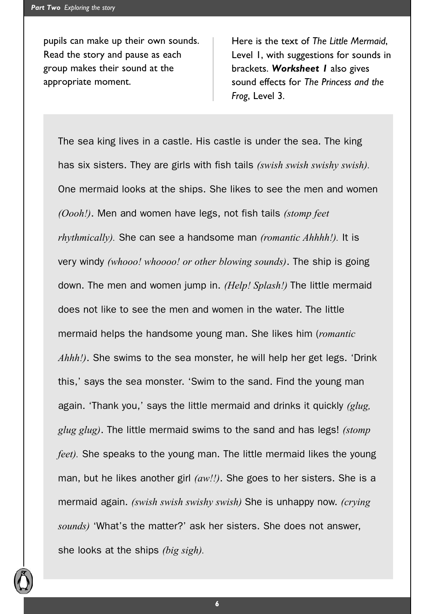pupils can make up their own sounds. Read the story and pause as each group makes their sound at the appropriate moment.

Here is the text of *The Little Mermaid*, Level 1, with suggestions for sounds in brackets. *Worksheet 1* also gives sound effects for *The Princess and the Frog*, Level 3.

The sea king lives in a castle. His castle is under the sea. The king has six sisters. They are girls with fish tails *(swish swish swishy swish).* One mermaid looks at the ships. She likes to see the men and women *(Oooh!)*. Men and women have legs, not fish tails *(stomp feet rhythmically).* She can see a handsome man *(romantic Ahhhh!).* It is very windy *(whooo! whoooo! or other blowing sounds)*. The ship is going down. The men and women jump in. *(Help! Splash!)* The little mermaid does not like to see the men and women in the water. The little mermaid helps the handsome young man. She likes him (*romantic Ahhh!)*. She swims to the sea monster, he will help her get legs. 'Drink this,' says the sea monster. 'Swim to the sand. Find the young man again. 'Thank you,' says the little mermaid and drinks it quickly *(glug, glug glug)*. The little mermaid swims to the sand and has legs! *(stomp feet)*. She speaks to the young man. The little mermaid likes the young man, but he likes another girl *(aw!!)*. She goes to her sisters. She is a mermaid again. *(swish swish swishy swish)* She is unhappy now. *(crying sounds)* 'What's the matter?' ask her sisters. She does not answer, she looks at the ships *(big sigh).*

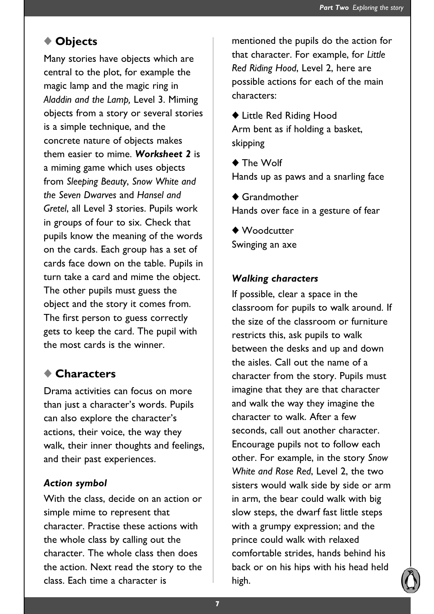#### ◆ **Objects**

Many stories have objects which are central to the plot, for example the magic lamp and the magic ring in *Aladdin and the Lamp,* Level 3. Miming objects from a story or several stories is a simple technique, and the concrete nature of objects makes them easier to mime. *Worksheet 2* is a miming game which uses objects from *Sleeping Beauty*, *Snow White and the Seven Dwarves* and *Hansel and Gretel*, all Level 3 stories. Pupils work in groups of four to six. Check that pupils know the meaning of the words on the cards. Each group has a set of cards face down on the table. Pupils in turn take a card and mime the object. The other pupils must guess the object and the story it comes from. The first person to guess correctly gets to keep the card. The pupil with the most cards is the winner.

#### ◆ **Characters**

Drama activities can focus on more than just a character's words. Pupils can also explore the character's actions, their voice, the way they walk, their inner thoughts and feelings, and their past experiences.

#### *Action symbol*

With the class, decide on an action or simple mime to represent that character. Practise these actions with the whole class by calling out the character. The whole class then does the action. Next read the story to the class. Each time a character is

mentioned the pupils do the action for that character. For example, for *Little Red Riding Hood*, Level 2, here are possible actions for each of the main characters:

◆ Little Red Riding Hood Arm bent as if holding a basket, skipping

◆ The Wolf Hands up as paws and a snarling face

◆ Grandmother Hands over face in a gesture of fear

◆ Woodcutter Swinging an axe

#### *Walking characters*

If possible, clear a space in the classroom for pupils to walk around. If the size of the classroom or furniture restricts this, ask pupils to walk between the desks and up and down the aisles. Call out the name of a character from the story. Pupils must imagine that they are that character and walk the way they imagine the character to walk. After a few seconds, call out another character. Encourage pupils not to follow each other. For example, in the story *Snow White and Rose Red*, Level 2, the two sisters would walk side by side or arm in arm, the bear could walk with big slow steps, the dwarf fast little steps with a grumpy expression; and the prince could walk with relaxed comfortable strides, hands behind his back or on his hips with his head held high.

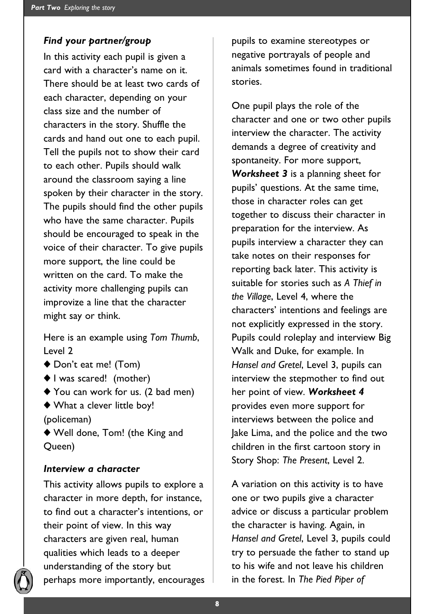#### *Find your partner/group*

In this activity each pupil is given a card with a character's name on it. There should be at least two cards of each character, depending on your class size and the number of characters in the story. Shuffle the cards and hand out one to each pupil. Tell the pupils not to show their card to each other. Pupils should walk around the classroom saying a line spoken by their character in the story. The pupils should find the other pupils who have the same character. Pupils should be encouraged to speak in the voice of their character. To give pupils more support, the line could be written on the card. To make the activity more challenging pupils can improvize a line that the character might say or think.

Here is an example using *Tom Thumb*, Level 2

- ◆ Don't eat me! (Tom)
- ◆ I was scared! (mother)
- ◆ You can work for us. (2 bad men)
- ◆ What a clever little boy! (policeman)
- ◆ Well done, Tom! (the King and Queen)

#### *Interview a character*

This activity allows pupils to explore a character in more depth, for instance, to find out a character's intentions, or their point of view. In this way characters are given real, human qualities which leads to a deeper understanding of the story but perhaps more importantly, encourages pupils to examine stereotypes or negative portrayals of people and animals sometimes found in traditional stories.

One pupil plays the role of the character and one or two other pupils interview the character. The activity demands a degree of creativity and spontaneity. For more support, *Worksheet 3* is a planning sheet for pupils' questions. At the same time, those in character roles can get together to discuss their character in preparation for the interview. As pupils interview a character they can take notes on their responses for reporting back later. This activity is suitable for stories such as *A Thief in the Village*, Level 4, where the characters' intentions and feelings are not explicitly expressed in the story. Pupils could roleplay and interview Big Walk and Duke, for example. In *Hansel and Gretel*, Level 3, pupils can interview the stepmother to find out her point of view. *Worksheet 4* provides even more support for interviews between the police and Jake Lima, and the police and the two children in the first cartoon story in Story Shop: *The Present*, Level 2.

A variation on this activity is to have one or two pupils give a character advice or discuss a particular problem the character is having. Again, in *Hansel and Gretel*, Level 3, pupils could try to persuade the father to stand up to his wife and not leave his children in the forest. In *The Pied Piper of*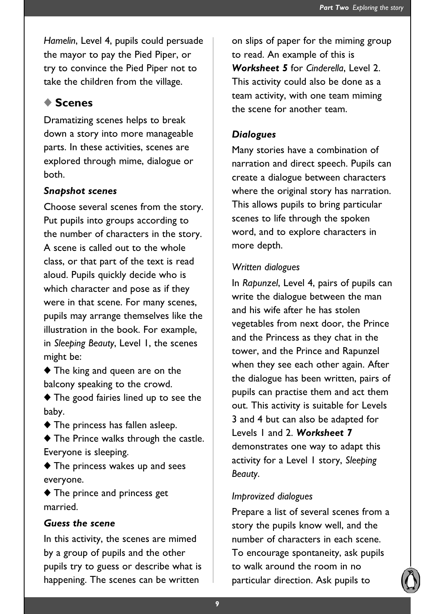*Hamelin*, Level 4, pupils could persuade the mayor to pay the Pied Piper, or try to convince the Pied Piper not to take the children from the village.

### ◆ **Scenes**

Dramatizing scenes helps to break down a story into more manageable parts. In these activities, scenes are explored through mime, dialogue or both.

#### *Snapshot scenes*

Choose several scenes from the story. Put pupils into groups according to the number of characters in the story. A scene is called out to the whole class, or that part of the text is read aloud. Pupils quickly decide who is which character and pose as if they were in that scene. For many scenes, pupils may arrange themselves like the illustration in the book. For example, in *Sleeping Beauty*, Level 1, the scenes might be:

◆ The king and queen are on the balcony speaking to the crowd.

◆ The good fairies lined up to see the baby.

◆ The princess has fallen asleep.

◆ The Prince walks through the castle. Everyone is sleeping.

◆ The princess wakes up and sees everyone.

◆ The prince and princess get married.

#### *Guess the scene*

In this activity, the scenes are mimed by a group of pupils and the other pupils try to guess or describe what is happening. The scenes can be written

on slips of paper for the miming group to read. An example of this is *Worksheet 5* for *Cinderella*, Level 2. This activity could also be done as a team activity, with one team miming the scene for another team.

#### *Dialogues*

Many stories have a combination of narration and direct speech. Pupils can create a dialogue between characters where the original story has narration. This allows pupils to bring particular scenes to life through the spoken word, and to explore characters in more depth.

#### *Written dialogues*

In *Rapunzel*, Level 4, pairs of pupils can write the dialogue between the man and his wife after he has stolen vegetables from next door, the Prince and the Princess as they chat in the tower, and the Prince and Rapunzel when they see each other again. After the dialogue has been written, pairs of pupils can practise them and act them out. This activity is suitable for Levels 3 and 4 but can also be adapted for Levels 1 and 2. *Worksheet 7* demonstrates one way to adapt this activity for a Level 1 story, *Sleeping Beauty*.

#### *Improvized dialogues*

Prepare a list of several scenes from a story the pupils know well, and the number of characters in each scene. To encourage spontaneity, ask pupils to walk around the room in no particular direction. Ask pupils to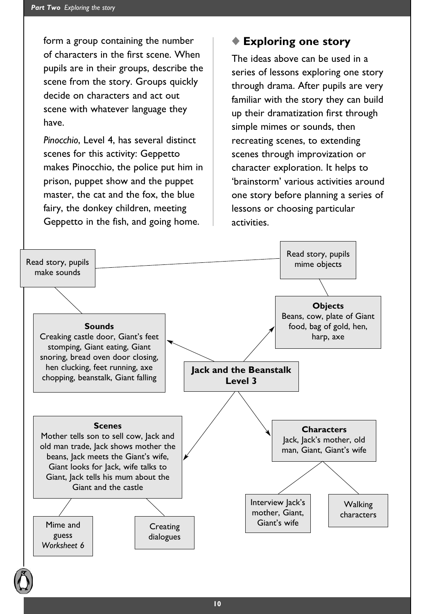form a group containing the number of characters in the first scene. When pupils are in their groups, describe the scene from the story. Groups quickly decide on characters and act out scene with whatever language they have.

*Pinocchio*, Level 4, has several distinct scenes for this activity: Geppetto makes Pinocchio, the police put him in prison, puppet show and the puppet master, the cat and the fox, the blue fairy, the donkey children, meeting Geppetto in the fish, and going home.

#### ◆ **Exploring one story**

The ideas above can be used in a series of lessons exploring one story through drama. After pupils are very familiar with the story they can build up their dramatization first through simple mimes or sounds, then recreating scenes, to extending scenes through improvization or character exploration. It helps to 'brainstorm' various activities around one story before planning a series of lessons or choosing particular activities.

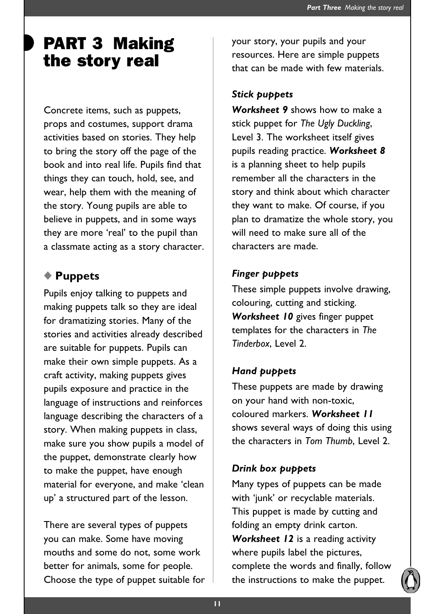## PART 3 Making the story real

Concrete items, such as puppets, props and costumes, support drama activities based on stories. They help to bring the story off the page of the book and into real life. Pupils find that things they can touch, hold, see, and wear, help them with the meaning of the story. Young pupils are able to believe in puppets, and in some ways they are more 'real' to the pupil than a classmate acting as a story character.

### ◆ **Puppets**

Pupils enjoy talking to puppets and making puppets talk so they are ideal for dramatizing stories. Many of the stories and activities already described are suitable for puppets. Pupils can make their own simple puppets. As a craft activity, making puppets gives pupils exposure and practice in the language of instructions and reinforces language describing the characters of a story. When making puppets in class, make sure you show pupils a model of the puppet, demonstrate clearly how to make the puppet, have enough material for everyone, and make 'clean up' a structured part of the lesson.

There are several types of puppets you can make. Some have moving mouths and some do not, some work better for animals, some for people. Choose the type of puppet suitable for your story, your pupils and your resources. Here are simple puppets that can be made with few materials.

#### *Stick puppets*

*Worksheet 9* shows how to make a stick puppet for *The Ugly Duckling*, Level 3. The worksheet itself gives pupils reading practice. *Worksheet 8* is a planning sheet to help pupils remember all the characters in the story and think about which character they want to make. Of course, if you plan to dramatize the whole story, you will need to make sure all of the characters are made.

#### *Finger puppets*

These simple puppets involve drawing, colouring, cutting and sticking. *Worksheet 10* gives finger puppet templates for the characters in *The Tinderbox*, Level 2.

#### *Hand puppets*

These puppets are made by drawing on your hand with non-toxic, coloured markers. *Worksheet 11* shows several ways of doing this using the characters in *Tom Thumb*, Level 2.

#### *Drink box puppets*

Many types of puppets can be made with 'junk' or recyclable materials. This puppet is made by cutting and folding an empty drink carton. *Worksheet 12* is a reading activity where pupils label the pictures, complete the words and finally, follow the instructions to make the puppet.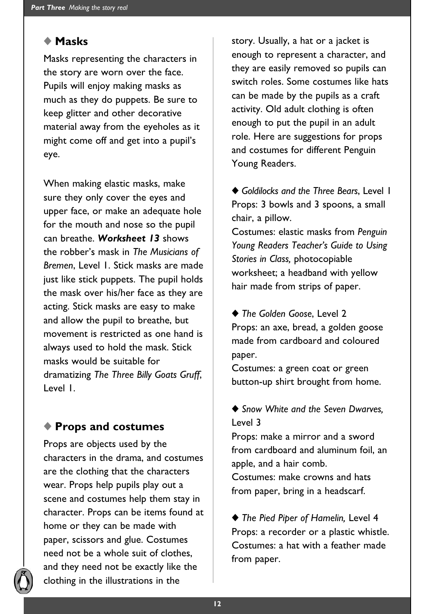#### ◆ **Masks**

Masks representing the characters in the story are worn over the face. Pupils will enjoy making masks as much as they do puppets. Be sure to keep glitter and other decorative material away from the eyeholes as it might come off and get into a pupil's eye.

When making elastic masks, make sure they only cover the eyes and upper face, or make an adequate hole for the mouth and nose so the pupil can breathe. *Worksheet 13* shows the robber's mask in *The Musicians of Bremen*, Level 1. Stick masks are made just like stick puppets. The pupil holds the mask over his/her face as they are acting. Stick masks are easy to make and allow the pupil to breathe, but movement is restricted as one hand is always used to hold the mask. Stick masks would be suitable for dramatizing *The Three Billy Goats Gruff*, Level 1.

#### ◆ **Props and costumes**

Props are objects used by the characters in the drama, and costumes are the clothing that the characters wear. Props help pupils play out a scene and costumes help them stay in character. Props can be items found at home or they can be made with paper, scissors and glue. Costumes need not be a whole suit of clothes, and they need not be exactly like the clothing in the illustrations in the

story. Usually, a hat or a jacket is enough to represent a character, and they are easily removed so pupils can switch roles. Some costumes like hats can be made by the pupils as a craft activity. Old adult clothing is often enough to put the pupil in an adult role. Here are suggestions for props and costumes for different Penguin Young Readers.

◆ *Goldilocks and the Three Bears*, Level 1 Props: 3 bowls and 3 spoons, a small chair, a pillow.

Costumes: elastic masks from *Penguin Young Readers Teacher's Guide to Using Stories in Class,* photocopiable worksheet; a headband with yellow hair made from strips of paper.

◆ *The Golden Goose*, Level 2 Props: an axe, bread, a golden goose made from cardboard and coloured paper.

Costumes: a green coat or green button-up shirt brought from home.

◆ *Snow White and the Seven Dwarves*, Level 3

Props: make a mirror and a sword from cardboard and aluminum foil, an apple, and a hair comb.

Costumes: make crowns and hats from paper, bring in a headscarf.

◆ *The Pied Piper of Hamelin,* Level 4 Props: a recorder or a plastic whistle. Costumes: a hat with a feather made from paper.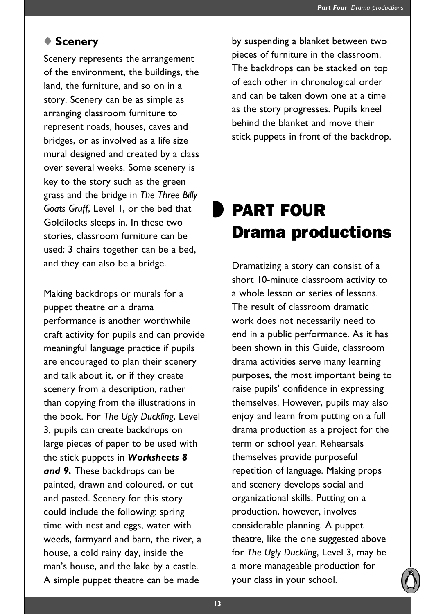#### ◆ **Scenery**

Scenery represents the arrangement of the environment, the buildings, the land, the furniture, and so on in a story. Scenery can be as simple as arranging classroom furniture to represent roads, houses, caves and bridges, or as involved as a life size mural designed and created by a class over several weeks. Some scenery is key to the story such as the green grass and the bridge in *The Three Billy Goats Gruff*, Level 1, or the bed that Goldilocks sleeps in. In these two stories, classroom furniture can be used: 3 chairs together can be a bed, and they can also be a bridge.

Making backdrops or murals for a puppet theatre or a drama performance is another worthwhile craft activity for pupils and can provide meaningful language practice if pupils are encouraged to plan their scenery and talk about it, or if they create scenery from a description, rather than copying from the illustrations in the book. For *The Ugly Duckling*, Level 3, pupils can create backdrops on large pieces of paper to be used with the stick puppets in *Worksheets 8 and 9.* These backdrops can be painted, drawn and coloured, or cut and pasted. Scenery for this story could include the following: spring time with nest and eggs, water with weeds, farmyard and barn, the river, a house, a cold rainy day, inside the man's house, and the lake by a castle. A simple puppet theatre can be made

by suspending a blanket between two pieces of furniture in the classroom. The backdrops can be stacked on top of each other in chronological order and can be taken down one at a time as the story progresses. Pupils kneel behind the blanket and move their stick puppets in front of the backdrop.

# PART FOUR Drama productions

Dramatizing a story can consist of a short 10-minute classroom activity to a whole lesson or series of lessons. The result of classroom dramatic work does not necessarily need to end in a public performance. As it has been shown in this Guide, classroom drama activities serve many learning purposes, the most important being to raise pupils' confidence in expressing themselves. However, pupils may also enjoy and learn from putting on a full drama production as a project for the term or school year. Rehearsals themselves provide purposeful repetition of language. Making props and scenery develops social and organizational skills. Putting on a production, however, involves considerable planning. A puppet theatre, like the one suggested above for *The Ugly Duckling*, Level 3, may be a more manageable production for your class in your school.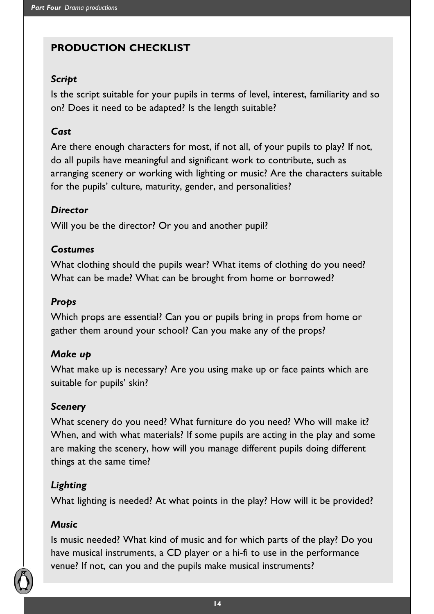### **PRODUCTION CHECKLIST**

#### *Script*

Is the script suitable for your pupils in terms of level, interest, familiarity and so on? Does it need to be adapted? Is the length suitable?

#### *Cast*

Are there enough characters for most, if not all, of your pupils to play? If not, do all pupils have meaningful and significant work to contribute, such as arranging scenery or working with lighting or music? Are the characters suitable for the pupils' culture, maturity, gender, and personalities?

#### *Director*

Will you be the director? Or you and another pupil?

#### *Costumes*

What clothing should the pupils wear? What items of clothing do you need? What can be made? What can be brought from home or borrowed?

#### *Props*

Which props are essential? Can you or pupils bring in props from home or gather them around your school? Can you make any of the props?

#### *Make up*

What make up is necessary? Are you using make up or face paints which are suitable for pupils' skin?

#### *Scenery*

What scenery do you need? What furniture do you need? Who will make it? When, and with what materials? If some pupils are acting in the play and some are making the scenery, how will you manage different pupils doing different things at the same time?

#### *Lighting*

What lighting is needed? At what points in the play? How will it be provided?

#### *Music*

Is music needed? What kind of music and for which parts of the play? Do you have musical instruments, a CD player or a hi-fi to use in the performance venue? If not, can you and the pupils make musical instruments?

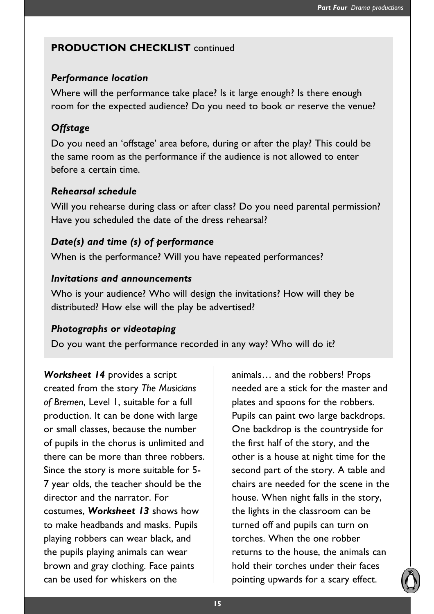#### **PRODUCTION CHECKLIST continued**

#### *Performance location*

Where will the performance take place? Is it large enough? Is there enough room for the expected audience? Do you need to book or reserve the venue?

#### *Offstage*

Do you need an 'offstage' area before, during or after the play? This could be the same room as the performance if the audience is not allowed to enter before a certain time.

#### *Rehearsal schedule*

Will you rehearse during class or after class? Do you need parental permission? Have you scheduled the date of the dress rehearsal?

#### *Date(s) and time (s) of performance*

When is the performance? Will you have repeated performances?

#### *Invitations and announcements*

Who is your audience? Who will design the invitations? How will they be distributed? How else will the play be advertised?

#### *Photographs or videotaping*

Do you want the performance recorded in any way? Who will do it?

*Worksheet 14* provides a script created from the story *The Musicians of Bremen*, Level 1, suitable for a full production. It can be done with large or small classes, because the number of pupils in the chorus is unlimited and there can be more than three robbers. Since the story is more suitable for 5- 7 year olds, the teacher should be the director and the narrator. For costumes, *Worksheet 13* shows how to make headbands and masks. Pupils playing robbers can wear black, and the pupils playing animals can wear brown and gray clothing. Face paints can be used for whiskers on the

animals… and the robbers! Props needed are a stick for the master and plates and spoons for the robbers. Pupils can paint two large backdrops. One backdrop is the countryside for the first half of the story, and the other is a house at night time for the second part of the story. A table and chairs are needed for the scene in the house. When night falls in the story, the lights in the classroom can be turned off and pupils can turn on torches. When the one robber returns to the house, the animals can hold their torches under their faces pointing upwards for a scary effect.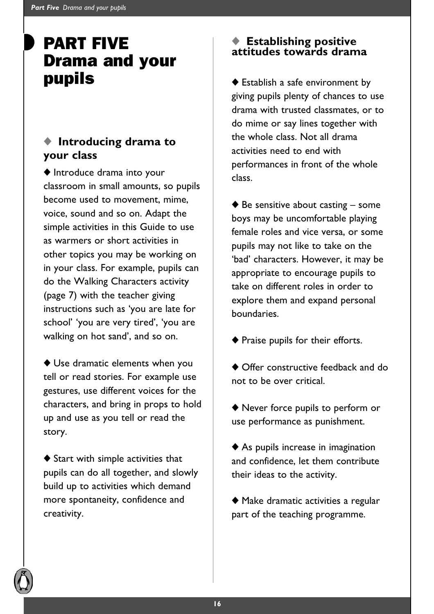## PART FIVE Drama and your pupils

### ◆ **Introducing drama to your class**

◆ Introduce drama into your classroom in small amounts, so pupils become used to movement, mime, voice, sound and so on. Adapt the simple activities in this Guide to use as warmers or short activities in other topics you may be working on in your class. For example, pupils can do the Walking Characters activity (page 7) with the teacher giving instructions such as 'you are late for school' 'you are very tired', 'you are walking on hot sand', and so on.

◆ Use dramatic elements when you tell or read stories. For example use gestures, use different voices for the characters, and bring in props to hold up and use as you tell or read the story.

◆ Start with simple activities that pupils can do all together, and slowly build up to activities which demand more spontaneity, confidence and creativity.

# ◆ **Establishing positive attitudes towards drama**

◆ Establish a safe environment by giving pupils plenty of chances to use drama with trusted classmates, or to do mime or say lines together with the whole class. Not all drama activities need to end with performances in front of the whole class.

 $\blacklozenge$  Be sensitive about casting – some boys may be uncomfortable playing female roles and vice versa, or some pupils may not like to take on the 'bad' characters. However, it may be appropriate to encourage pupils to take on different roles in order to explore them and expand personal boundaries.

- ◆ Praise pupils for their efforts.
- ◆ Offer constructive feedback and do not to be over critical.

◆ Never force pupils to perform or use performance as punishment.

◆ As pupils increase in imagination and confidence, let them contribute their ideas to the activity.

◆ Make dramatic activities a regular part of the teaching programme.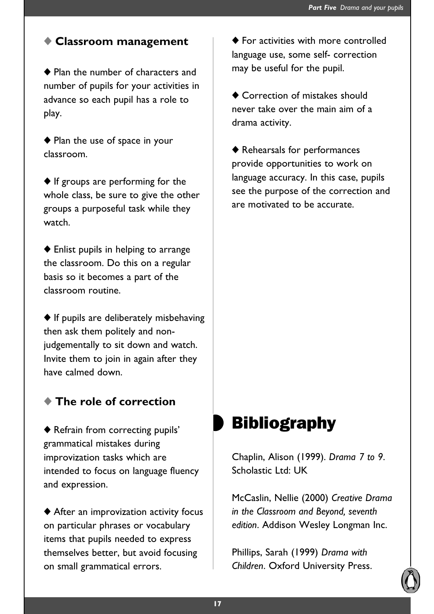#### ◆ **Classroom management**

◆ Plan the number of characters and number of pupils for your activities in advance so each pupil has a role to play.

◆ Plan the use of space in your classroom.

◆ If groups are performing for the whole class, be sure to give the other groups a purposeful task while they watch.

◆ Enlist pupils in helping to arrange the classroom. Do this on a regular basis so it becomes a part of the classroom routine.

◆ If pupils are deliberately misbehaving then ask them politely and nonjudgementally to sit down and watch. Invite them to join in again after they have calmed down.

#### ◆ **The role of correction**

◆ Refrain from correcting pupils' grammatical mistakes during improvization tasks which are intended to focus on language fluency and expression.

◆ After an improvization activity focus on particular phrases or vocabulary items that pupils needed to express themselves better, but avoid focusing on small grammatical errors.

◆ For activities with more controlled language use, some self- correction may be useful for the pupil.

◆ Correction of mistakes should never take over the main aim of a drama activity.

◆ Rehearsals for performances provide opportunities to work on language accuracy. In this case, pupils see the purpose of the correction and are motivated to be accurate.

## **Bibliography**

Chaplin, Alison (1999). *Drama 7 to 9*. Scholastic Ltd: UK

McCaslin, Nellie (2000) *Creative Drama in the Classroom and Beyond, seventh edition*. Addison Wesley Longman Inc.

Phillips, Sarah (1999) *Drama with Children*. Oxford University Press.

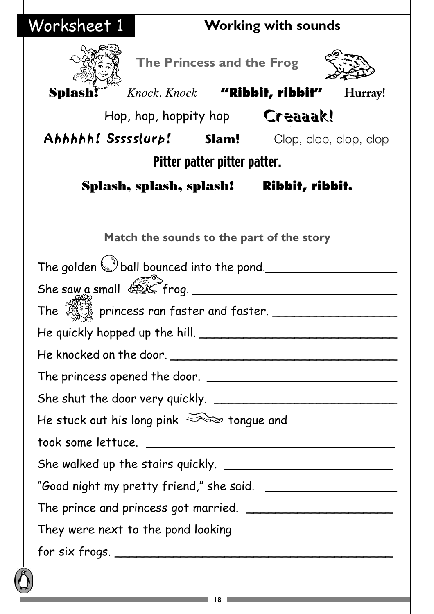| Worksheet 1                                       | <b>Working with sounds</b>            |  |                                           |         |
|---------------------------------------------------|---------------------------------------|--|-------------------------------------------|---------|
|                                                   | The Princess and the Frog             |  |                                           |         |
| Splash!                                           | Knock, Knock "Ribbit, ribbit"         |  |                                           | Hurray! |
|                                                   |                                       |  | Hop, hop, hoppity hop Creaaak!            |         |
| Ahhhhh! Ssssslurp! Slam! Clop, clop, clop, clop   |                                       |  |                                           |         |
|                                                   | Pitter patter pitter patter.          |  |                                           |         |
|                                                   |                                       |  | Splash, splash, splash! Ribbit, ribbit.   |         |
|                                                   |                                       |  |                                           |         |
|                                                   |                                       |  | Match the sounds to the part of the story |         |
| The golden w ball bounced into the pond.          |                                       |  |                                           |         |
| She saw a small $\overbrace{max}$ frog.           |                                       |  |                                           |         |
| The $\frac{1}{2}$ princess ran faster and faster. |                                       |  |                                           |         |
|                                                   | He quickly hopped up the hill. $\_\_$ |  |                                           |         |
|                                                   |                                       |  |                                           |         |
|                                                   |                                       |  |                                           |         |
|                                                   |                                       |  |                                           |         |
| He stuck out his long pink $\geq$ tongue and      |                                       |  |                                           |         |
|                                                   |                                       |  |                                           |         |
|                                                   |                                       |  |                                           |         |
|                                                   |                                       |  |                                           |         |
|                                                   |                                       |  |                                           |         |
| They were next to the pond looking                |                                       |  |                                           |         |
|                                                   |                                       |  |                                           |         |
|                                                   |                                       |  |                                           |         |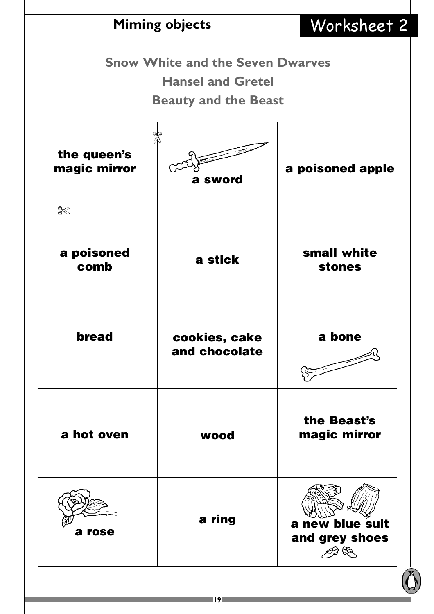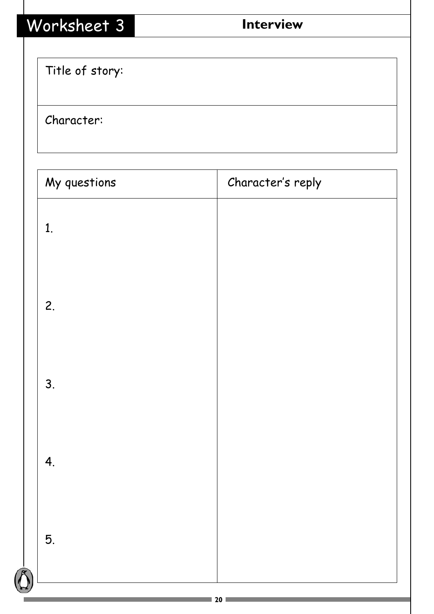| Worksheet 3     | <b>Interview</b>  |
|-----------------|-------------------|
| Title of story: |                   |
| Character:      |                   |
| My questions    | Character's reply |
| 1.              |                   |
| 2.              |                   |
| 3.              |                   |
| 4.              |                   |
| 5.              |                   |
|                 |                   |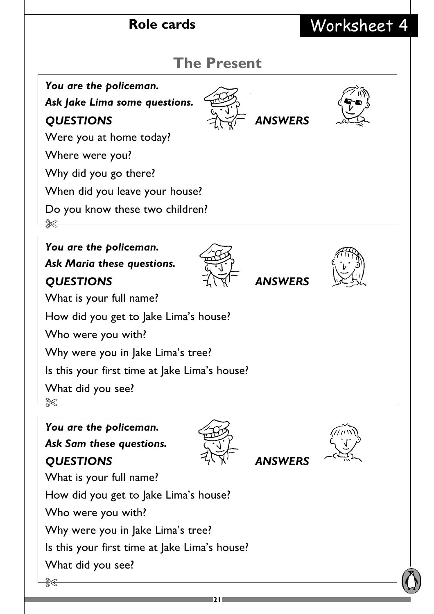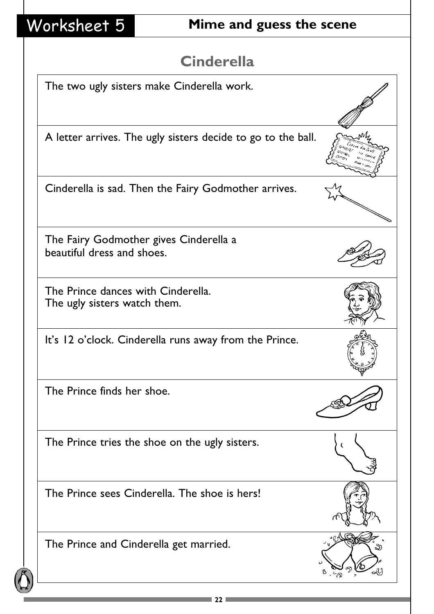# Worksheet 5 **Mime and guess the scene**

## **Cinderella**

| The two ugly sisters make Cinderella work.                           |  |
|----------------------------------------------------------------------|--|
|                                                                      |  |
| A letter arrives. The ugly sisters decide to go to the ball.         |  |
| Cinderella is sad. Then the Fairy Godmother arrives.                 |  |
| The Fairy Godmother gives Cinderella a<br>beautiful dress and shoes. |  |
| The Prince dances with Cinderella.<br>The ugly sisters watch them.   |  |
| It's 12 o'clock. Cinderella runs away from the Prince.               |  |
| The Prince finds her shoe.                                           |  |
| The Prince tries the shoe on the ugly sisters.                       |  |
| The Prince sees Cinderella. The shoe is hers!                        |  |
| The Prince and Cinderella get married.                               |  |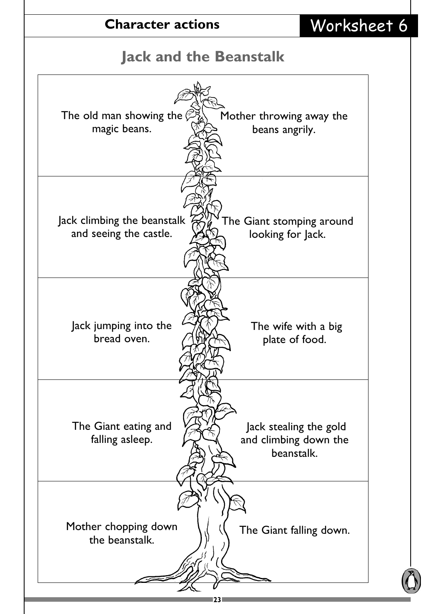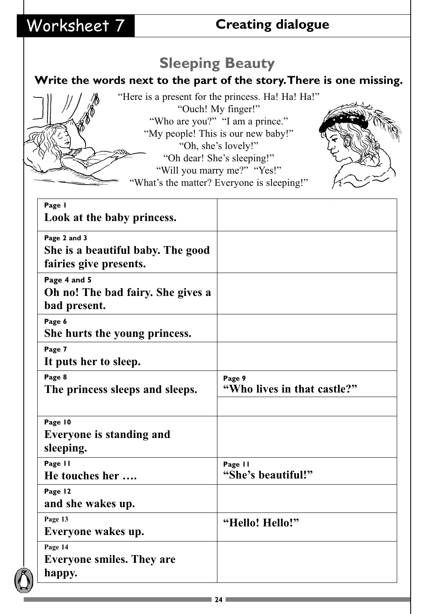## Worksheet 7 **Creating dialogue**

## **Sleeping Beauty**

## **Write the words next to the part of the story.There is one missing.**

"Here is a present for the princess. Ha! Ha! Ha!" "Ouch! My finger!" "Who are you?" "I am a prince." "My people! This is our new baby!" "Oh, she's lovely!" "Oh dear! She's sleeping!" "Will you marry me?" "Yes!"

What's the matter? Everyone is sleeping!"



**24**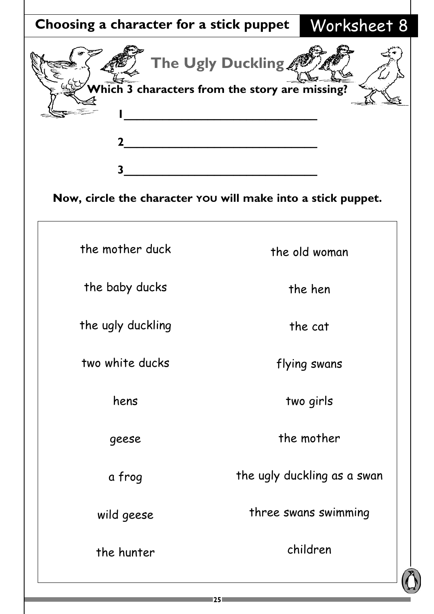| Choosing a character for a stick puppet                                                                                          |                   | Worksheet 8                 |  |
|----------------------------------------------------------------------------------------------------------------------------------|-------------------|-----------------------------|--|
| Which 3 characters from the story are missing?<br>3 <sup>1</sup><br>Now, circle the character YOU will make into a stick puppet. | The Ugly Duckling |                             |  |
|                                                                                                                                  |                   |                             |  |
| the mother duck                                                                                                                  |                   | the old woman               |  |
| the baby ducks                                                                                                                   |                   | the hen                     |  |
| the ugly duckling                                                                                                                |                   | the cat                     |  |
| two white ducks                                                                                                                  |                   | flying swans                |  |
| hens                                                                                                                             |                   | two girls                   |  |
| geese                                                                                                                            |                   | the mother                  |  |
| a frog                                                                                                                           |                   | the ugly duckling as a swan |  |
| wild geese                                                                                                                       |                   | three swans swimming        |  |
| the hunter                                                                                                                       |                   | children                    |  |
|                                                                                                                                  |                   |                             |  |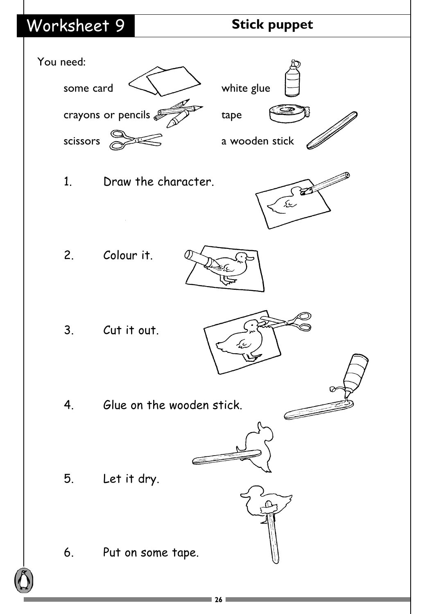# Worksheet 9 **Stick puppet**

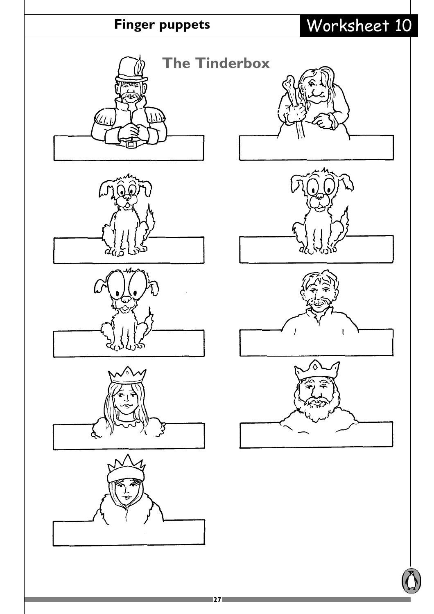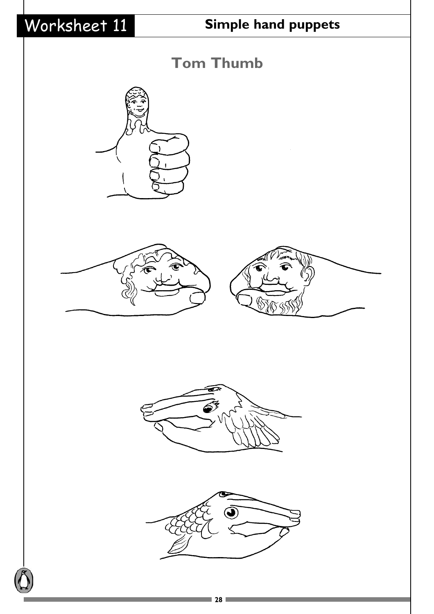# Worksheet 11 **Simple hand puppets**











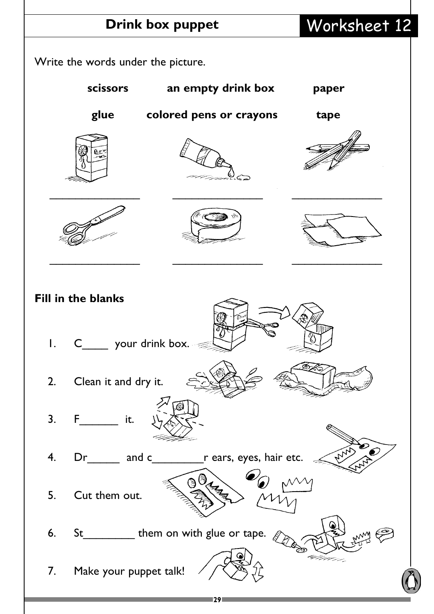# **Drink box puppet** Worksheet 12

Write the words under the picture.

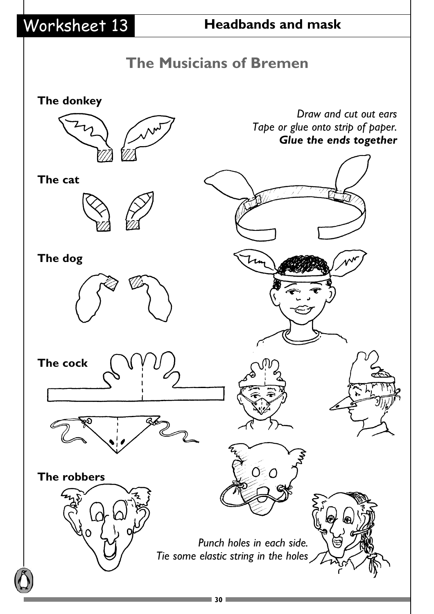# Worksheet 13 **Headbands and mask**

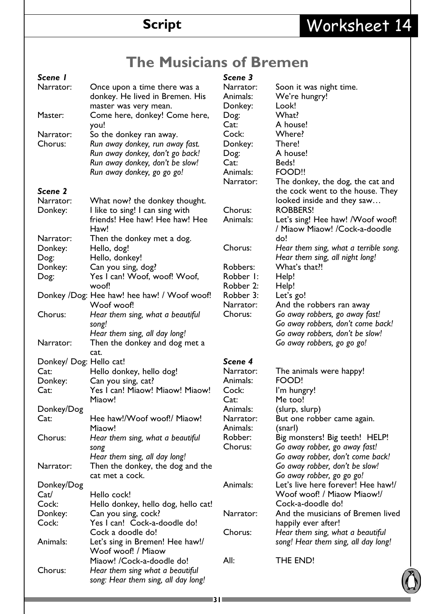# **Script** Worksheet 14

## **The Musicians of Bremen**

### *Scene 1*

| Narrator: | Once upon a time there was a<br>donkey. He lived in Bremen. His<br>master was very mean. |
|-----------|------------------------------------------------------------------------------------------|
| Master:   | Come here, donkey! Come here,                                                            |
|           | you!                                                                                     |
| Narrator: | So the donkey ran away.                                                                  |
| Chorus:   | Run away donkey, run away fast.                                                          |
|           | Run away donkey, don't go back!                                                          |
|           | Run away donkey, don't be slow!                                                          |
|           | Run away donkey, go go go!                                                               |

#### *Scene 2*

| Narrator:               | What now? the donkey thought.                                     |
|-------------------------|-------------------------------------------------------------------|
| Donkey:                 | I like to sing! I can sing with<br>friends! Hee haw! Hee haw! Hee |
|                         | Haw!                                                              |
| Narrator:               | Then the donkey met a dog.                                        |
| Donkey:                 | Hello, dog!                                                       |
| Dog:                    | Hello, donkey!                                                    |
| Donkey:                 | Can you sing, dog?                                                |
| Dog:                    | Yes I can! Woof, woof! Woof,<br>woof!                             |
|                         | Donkey /Dog: Hee haw! hee haw! / Woof woof!                       |
|                         | Woof woof!                                                        |
| Chorus:                 | Hear them sing, what a beautiful<br>song!                         |
|                         | Hear them sing, all day long!                                     |
| Narrator:               | Then the donkey and dog met a                                     |
|                         | cat.                                                              |
| Donkey/ Dog: Hello cat! |                                                                   |
| Cat:                    | Hello donkey, hello dog!                                          |
| Donkey:                 | Can you sing, cat?                                                |
| Cat:                    | Yes I can! Miaow! Miaow! Miaow!                                   |
|                         | Miaow!                                                            |
| Donkey/Dog              |                                                                   |
| Cat:                    | Hee haw!/Woof woof!/ Miaow!                                       |
|                         | Miaow!                                                            |
| Chorus:                 | Hear them sing, what a beautiful                                  |
|                         | song                                                              |
|                         | Hear them sing, all day long!                                     |
| Narrator:               | Then the donkey, the dog and the                                  |
|                         | cat met a cock.                                                   |
| Donkey/Dog              |                                                                   |
| Cat/                    | Hello cock!                                                       |
| Cock:                   | Hello donkey, hello dog, hello cat!                               |
| Donkey:                 | Can you sing, cock?                                               |
| Cock:                   | Yes I can! Cock-a-doodle do!                                      |
|                         | Cock a doodle do!                                                 |
| Animals:                | Let's sing in Bremen! Hee haw!/                                   |
|                         | Woof woof! / Miaow                                                |
|                         | Miaow! / Cock-a-doodle do!                                        |
| Chorus:                 | Hear them sing what a beautiful                                   |
|                         | song: Hear them sing, all day long!                               |

## *Scene 3*

| Narrator: | Soon it was night time.                                                  |
|-----------|--------------------------------------------------------------------------|
| Animals:  | We're hungry!                                                            |
| Donkey:   | Look!                                                                    |
| Dog:      | What?                                                                    |
| Cat:      | A house!                                                                 |
| Cock:     | Where?                                                                   |
| Donkey:   | There!                                                                   |
| Dog:      | A house!                                                                 |
| Cat:      | Beds!                                                                    |
| Animals:  | FOOD!!                                                                   |
| Narrator: | The donkey, the dog, the cat and<br>the cock went to the house. They     |
|           | looked inside and they saw                                               |
| Chorus:   | <b>ROBBERS!</b>                                                          |
| Animals:  | Let's sing! Hee haw! /Woof woof!<br>/ Miaow Miaow! /Cock-a-doodle        |
|           | do!                                                                      |
| Chorus:   | Hear them sing, what a terrible song.<br>Hear them sing, all night long! |
| Robbers:  | What's that!!                                                            |
| Robber I: | Help!                                                                    |
| Robber 2: | Help!                                                                    |
| Robber 3: | Let's go!                                                                |
| Narrator: | And the robbers ran away                                                 |
| Chorus:   | Go away robbers, go away fast!                                           |
|           | Go away robbers, don't come back!                                        |
|           | Go away robbers, don't be slow!                                          |
|           | Go away robbers, go go go!                                               |
| Scene 4   |                                                                          |
| Narrator: | The animals were happy!                                                  |
| Animals:  | FOOD!                                                                    |
| Cock:     | I'm hungry!                                                              |
| Cat:      | Me too!                                                                  |
| Animals:  | (slurp, slurp)                                                           |
| Narrator: |                                                                          |
| Animals:  | But one robber came again.                                               |
| Robber:   | (snarl)                                                                  |
|           | Big monsters! Big teeth! HELP!                                           |
| Chorus:   | Go away robber, go away fast!                                            |
|           | Go away robber, don't come back!                                         |
|           | Go away robber, don't be slow!                                           |
|           | Go away robber, go go go!                                                |
| Animals:  | Let's live here forever! Hee haw!/                                       |
|           | Woof woof! / Miaow Miaow!/                                               |
|           | Cock-a-doodle do!                                                        |
| Narrator: | And the musicians of Bremen lived                                        |
|           | happily ever after!                                                      |
| Chorus:   | Hear them sing, what a beautiful                                         |
|           | song! Hear them sing, all day long!                                      |
|           |                                                                          |

All: THE END!